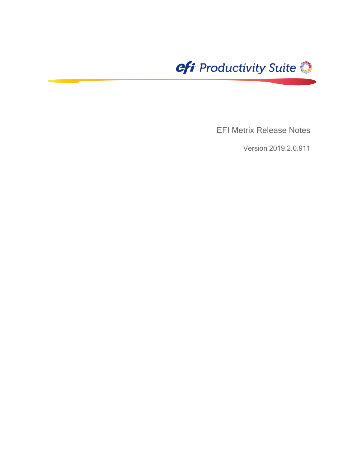

EFI Metrix Release Notes

Version 2019.2.0.911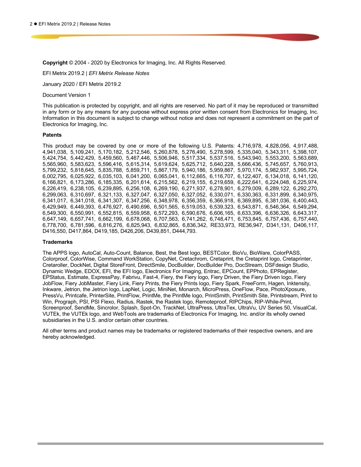**Copyright** © 2004 - 2020 by Electronics for Imaging, Inc. All Rights Reserved.

EFI Metrix 2019.2 | *EFI Metrix Release Notes*

January 2020 / EFI Metrix 2019.2

Document Version 1

This publication is protected by copyright, and all rights are reserved. No part of it may be reproduced or transmitted in any form or by any means for any purpose without express prior written consent from Electronics for Imaging, Inc. Information in this document is subject to change without notice and does not represent a commitment on the part of Electronics for Imaging, Inc.

#### **Patents**

This product may be covered by one or more of the following U.S. Patents: 4,716,978, 4,828,056, 4,917,488, 4,941,038, 5,109,241, 5,170,182, 5,212,546, 5,260,878, 5,276,490, 5,278,599, 5,335,040, 5,343,311, 5,398,107, 5,424,754, 5,442,429, 5,459,560, 5,467,446, 5,506,946, 5,517,334, 5,537,516, 5,543,940, 5,553,200, 5,563,689, 5,565,960, 5,583,623, 5,596,416, 5,615,314, 5,619,624, 5,625,712, 5,640,228, 5,666,436, 5,745,657, 5,760,913, 5,799,232, 5,818,645, 5,835,788, 5,859,711, 5,867,179, 5,940,186, 5,959,867, 5,970,174, 5,982,937, 5,995,724, 6,002,795, 6,025,922, 6,035,103, 6,041,200, 6,065,041, 6,112,665, 6,116,707, 6,122,407, 6,134,018, 6,141,120, 6,166,821, 6,173,286, 6,185,335, 6,201,614, 6,215,562, 6,219,155, 6,219,659, 6,222,641, 6,224,048, 6,225,974, 6,226,419, 6,238,105, 6,239,895, 6,256,108, 6,269,190, 6,271,937, 6,278,901, 6,279,009, 6,289,122, 6,292,270, 6,299,063, 6,310,697, 6,321,133, 6,327,047, 6,327,050, 6,327,052, 6,330,071, 6,330,363, 6,331,899, 6,340,975, 6,341,017, 6,341,018, 6,341,307, 6,347,256, 6,348,978, 6,356,359, 6,366,918, 6,369,895, 6,381,036, 6,400,443, 6,429,949, 6,449,393, 6,476,927, 6,490,696, 6,501,565, 6,519,053, 6,539,323, 6,543,871, 6,546,364, 6,549,294, 6,549,300, 6,550,991, 6,552,815, 6,559,958, 6,572,293, 6,590,676, 6,606,165, 6,633,396, 6,636,326, 6,643,317, 6,647,149, 6,657,741, 6,662,199, 6,678,068, 6,707,563, 6,741,262, 6,748,471, 6,753,845, 6,757,436, 6,757,440, 6,778,700, 6,781,596, 6,816,276, 6,825,943, 6,832,865, 6,836,342, RE33,973, RE36,947, D341,131, D406,117, D416,550, D417,864, D419,185, D426,206, D439,851, D444,793.

#### **Trademarks**

The APPS logo, AutoCal, Auto-Count, Balance, Best, the Best logo, BESTColor, BioVu, BioWare, ColorPASS, Colorproof, ColorWise, Command WorkStation, CopyNet, Cretachrom, Cretaprint, the Cretaprint logo, Cretaprinter, Cretaroller, DockNet, Digital StoreFront, DirectSmile, DocBuilder, DocBuilder Pro, DocStream, DSFdesign Studio, Dynamic Wedge, EDOX, EFI, the EFI logo, Electronics For Imaging, Entrac, EPCount, EPPhoto, EPRegister, EPStatus, Estimate, ExpressPay, Fabrivu, Fast-4, Fiery, the Fiery logo, Fiery Driven, the Fiery Driven logo, Fiery JobFlow, Fiery JobMaster, Fiery Link, Fiery Prints, the Fiery Prints logo, Fiery Spark, FreeForm, Hagen, Inktensity, Inkware, Jetrion, the Jetrion logo, LapNet, Logic, MiniNet, Monarch, MicroPress, OneFlow, Pace, PhotoXposure, PressVu, Printcafe, PrinterSite, PrintFlow, PrintMe, the PrintMe logo, PrintSmith, PrintSmith Site, Printstream, Print to Win, Prograph, PSI, PSI Flexo, Radius, Rastek, the Rastek logo, Remoteproof, RIPChips, RIP-While-Print, Screenproof, SendMe, Sincrolor, Splash, Spot-On, TrackNet, UltraPress, UltraTex, UltraVu, UV Series 50, VisualCal, VUTEk, the VUTEk logo, and WebTools are trademarks of Electronics For Imaging, Inc. and/or its wholly owned subsidiaries in the U.S. and/or certain other countries.

All other terms and product names may be trademarks or registered trademarks of their respective owners, and are hereby acknowledged.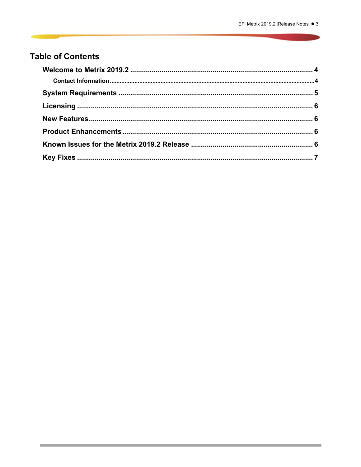# **Table of Contents**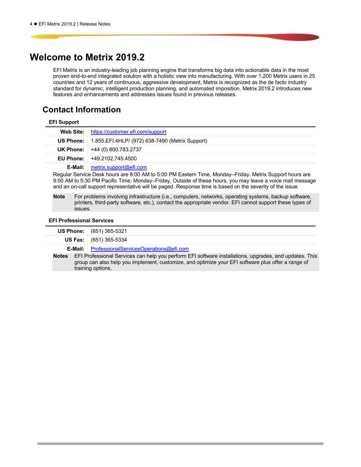# **Welcome to Metrix 2019.2**

EFI Metrix is an industry-leading job planning engine that transforms big data into actionable data in the most proven end-to-end integrated solution with a holistic view into manufacturing. With over 1,200 Metrix users in 25 countries and 12 years of continuous, aggressive development, Metrix is recognized as the de facto industry standard for dynamic, intelligent production planning, and automated imposition. Metrix 2019.2 introduces new features and enhancements and addresses issues found in previous releases.

### **Contact Information**

| <b>EFI Support</b> |                                                 |
|--------------------|-------------------------------------------------|
| <b>Web Site:</b>   | https://customer.efi.com/support                |
| <b>US Phone:</b>   | 1.855.EFI.4HLP/ (972) 638-7490 (Metrix Support) |
|                    | <b>UK Phone:</b> $+44(0)800.783.2737$           |
| <b>EU Phone:</b>   | $+49.2102.745.4500$                             |
| E-Mail:            | metrix.support@efi.com                          |

Regular Service Desk hours are 8:00 AM to 5:00 PM Eastern Time, Monday–Friday. Metrix Support hours are 9:00 AM to 5:30 PM Pacific Time, Monday–Friday. Outside of these hours, you may leave a voice mail message and an on-call support representative will be paged. Response time is based on the severity of the issue.

**Note** For problems involving infrastructure (i.e., computers, networks, operating systems, backup software, printers, third-party software, etc.), contact the appropriate vendor. EFI cannot support these types of issues.

### **EFI Professional Services**

|                                                                                                                                                                                                                                            | US Phone:                                               | (651) 365-5321 |
|--------------------------------------------------------------------------------------------------------------------------------------------------------------------------------------------------------------------------------------------|---------------------------------------------------------|----------------|
|                                                                                                                                                                                                                                            | <b>US Fax:</b>                                          | (651) 365-5334 |
|                                                                                                                                                                                                                                            | <b>E-Mail:</b>   ProfessionalServicesOperations@efi.com |                |
| EFI Professional Services can help you perform EFI software installations, upgrades, and updates. This<br>Notes<br>group can also help you implement, customize, and optimize your EFI software plus offer a range of<br>training options. |                                                         |                |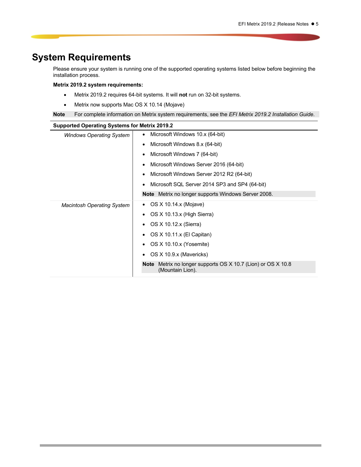# **System Requirements**

Please ensure your system is running one of the supported operating systems listed below before beginning the installation process.

### **Metrix 2019.2 system requirements:**

- Metrix 2019.2 requires 64-bit systems. It will **not** run on 32-bit systems.
- Metrix now supports Mac OS X 10.14 (Mojave)

**Note** For complete information on Metrix system requirements, see the *EFI Metrix 2019.2 Installation Guide*.

| <b>Supported Operating Systems for Metrix 2019.2</b> |                                                                                     |  |  |  |
|------------------------------------------------------|-------------------------------------------------------------------------------------|--|--|--|
| <b>Windows Operating System</b>                      | Microsoft Windows 10.x (64-bit)                                                     |  |  |  |
|                                                      | Microsoft Windows 8.x (64-bit)                                                      |  |  |  |
|                                                      | Microsoft Windows 7 (64-bit)                                                        |  |  |  |
|                                                      | Microsoft Windows Server 2016 (64-bit)                                              |  |  |  |
|                                                      | Microsoft Windows Server 2012 R2 (64-bit)                                           |  |  |  |
|                                                      | Microsoft SQL Server 2014 SP3 and SP4 (64-bit)                                      |  |  |  |
|                                                      | Note Metrix no longer supports Windows Server 2008.                                 |  |  |  |
| <b>Macintosh Operating System</b>                    | OS X 10.14.x (Mojave)                                                               |  |  |  |
|                                                      | OS X 10.13.x (High Sierra)                                                          |  |  |  |
|                                                      | OS X 10.12.x (Sierra)                                                               |  |  |  |
|                                                      | OS X 10.11.x (El Capitan)                                                           |  |  |  |
|                                                      | OS X 10.10.x (Yosemite)                                                             |  |  |  |
|                                                      | OS X 10.9.x (Mavericks)                                                             |  |  |  |
|                                                      | Metrix no longer supports OS X 10.7 (Lion) or OS X 10.8<br>Note<br>(Mountain Lion). |  |  |  |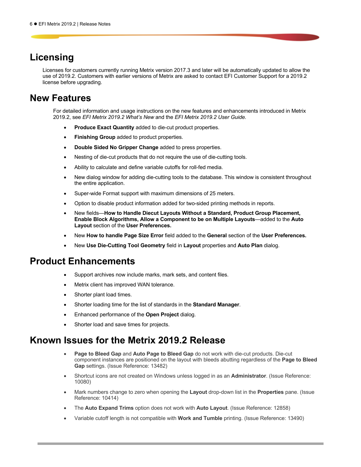# **Licensing**

Licenses for customers currently running Metrix version 2017.3 and later will be automatically updated to allow the use of 2019.2. Customers with earlier versions of Metrix are asked to contact EFI Customer Support for a 2019.2 license before upgrading.

# **New Features**

For detailed information and usage instructions on the new features and enhancements introduced in Metrix 2019.2, see *EFI Metrix 2019.2 What's New* and the *EFI Metrix 2019.2 User Guide.*

- **Produce Exact Quantity** added to die-cut product properties.
- **Finishing Group** added to product properties.
- **Double Sided No Gripper Change** added to press properties.
- Nesting of die-cut products that do not require the use of die-cutting tools.
- Ability to calculate and define variable cutoffs for roll-fed media.
- New dialog window for adding die-cutting tools to the database. This window is consistent throughout the entire application.
- Super-wide Format support with maximum dimensions of 25 meters.
- Option to disable product information added for two-sided printing methods in reports.
- New fields—**How to Handle Diecut Layouts Without a Standard, Product Group Placement, Enable Block Algorithms, Allow a Component to be on Multiple Layouts**—added to the **Auto Layout** section of the **User Preferences.**
- New **How to handle Page Size Error** field added to the **General** section of the **User Preferences.**
- New **Use Die-Cutting Tool Geometry** field in **Layout** properties and **Auto Plan** dialog.

### **Product Enhancements**

- Support archives now include marks, mark sets, and content files.
- Metrix client has improved WAN tolerance.
- Shorter plant load times.
- Shorter loading time for the list of standards in the **Standard Manager**.
- Enhanced performance of the **Open Project** dialog.
- Shorter load and save times for projects.

### **Known Issues for the Metrix 2019.2 Release**

- **Page to Bleed Gap** and **Auto Page to Bleed Gap** do not work with die-cut products. Die-cut component instances are positioned on the layout with bleeds abutting regardless of the **Page to Bleed Gap** settings. (Issue Reference: 13482)
- Shortcut icons are not created on Windows unless logged in as an **Administrator**. (Issue Reference: 10080)
- Mark numbers change to zero when opening the **Layout** drop-down list in the **Properties** pane. (Issue Reference: 10414)
- The **Auto Expand Trims** option does not work with **Auto Layout**. (Issue Reference: 12858)
- Variable cutoff length is not compatible with **Work and Tumble** printing. (Issue Reference: 13490)